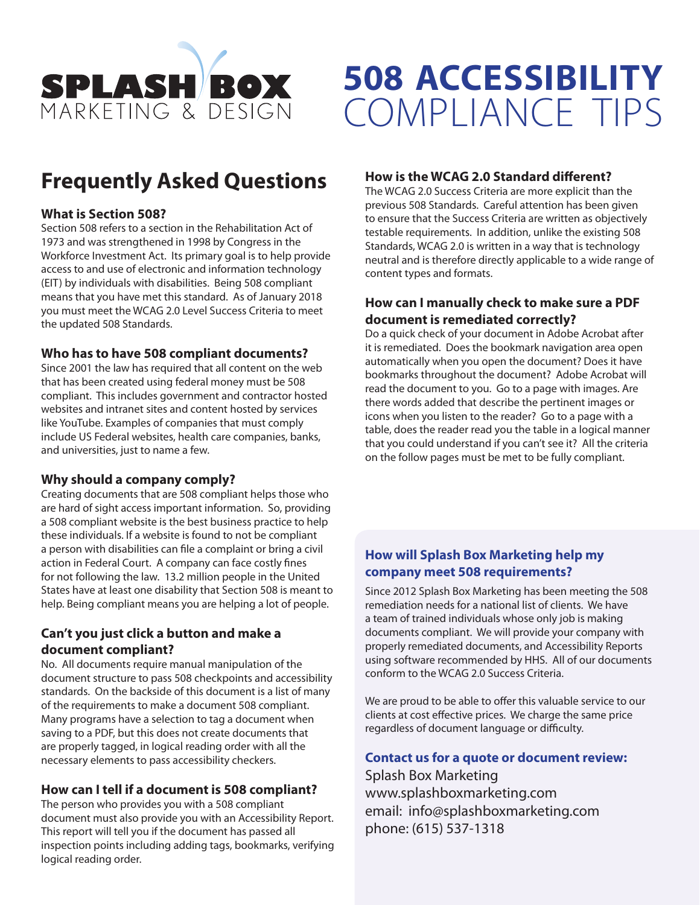

# **508 ACCESSIBILITY** COMPLIANCE TIPS

## **Frequently Asked Questions**

#### **What is Section 508?**

Section 508 refers to a section in the Rehabilitation Act of 1973 and was strengthened in 1998 by Congress in the Workforce Investment Act. Its primary goal is to help provide access to and use of electronic and information technology (EIT) by individuals with disabilities. Being 508 compliant means that you have met this standard. As of January 2018 you must meet the WCAG 2.0 Level Success Criteria to meet the updated 508 Standards.

#### **Who has to have 508 compliant documents?**

Since 2001 the law has required that all content on the web that has been created using federal money must be 508 compliant. This includes government and contractor hosted websites and intranet sites and content hosted by services like YouTube. Examples of companies that must comply include US Federal websites, health care companies, banks, and universities, just to name a few.

#### **Why should a company comply?**

Creating documents that are 508 compliant helps those who are hard of sight access important information. So, providing a 508 compliant website is the best business practice to help these individuals. If a website is found to not be compliant a person with disabilities can file a complaint or bring a civil action in Federal Court. A company can face costly fines for not following the law. 13.2 million people in the United States have at least one disability that Section 508 is meant to help. Being compliant means you are helping a lot of people.

#### **Can't you just click a button and make a document compliant?**

No. All documents require manual manipulation of the document structure to pass 508 checkpoints and accessibility standards. On the backside of this document is a list of many of the requirements to make a document 508 compliant. Many programs have a selection to tag a document when saving to a PDF, but this does not create documents that are properly tagged, in logical reading order with all the necessary elements to pass accessibility checkers.

#### **How can I tell if a document is 508 compliant?**

The person who provides you with a 508 compliant document must also provide you with an Accessibility Report. This report will tell you if the document has passed all inspection points including adding tags, bookmarks, verifying logical reading order.

#### **How is the WCAG 2.0 Standard different?**

The WCAG 2.0 Success Criteria are more explicit than the previous 508 Standards. Careful attention has been given to ensure that the Success Criteria are written as objectively testable requirements. In addition, unlike the existing 508 Standards, WCAG 2.0 is written in a way that is technology neutral and is therefore directly applicable to a wide range of content types and formats.

#### **How can I manually check to make sure a PDF document is remediated correctly?**

Do a quick check of your document in Adobe Acrobat after it is remediated. Does the bookmark navigation area open automatically when you open the document? Does it have bookmarks throughout the document? Adobe Acrobat will read the document to you. Go to a page with images. Are there words added that describe the pertinent images or icons when you listen to the reader? Go to a page with a table, does the reader read you the table in a logical manner that you could understand if you can't see it? All the criteria on the follow pages must be met to be fully compliant.

#### **How will Splash Box Marketing help my company meet 508 requirements?**

Since 2012 Splash Box Marketing has been meeting the 508 remediation needs for a national list of clients. We have a team of trained individuals whose only job is making documents compliant. We will provide your company with properly remediated documents, and Accessibility Reports using software recommended by HHS. All of our documents conform to the WCAG 2.0 Success Criteria.

We are proud to be able to offer this valuable service to our clients at cost effective prices. We charge the same price regardless of document language or difficulty.

#### **Contact us for a quote or document review:**

Splash Box Marketing www.splashboxmarketing.com email: info@splashboxmarketing.com phone: (615) 537-1318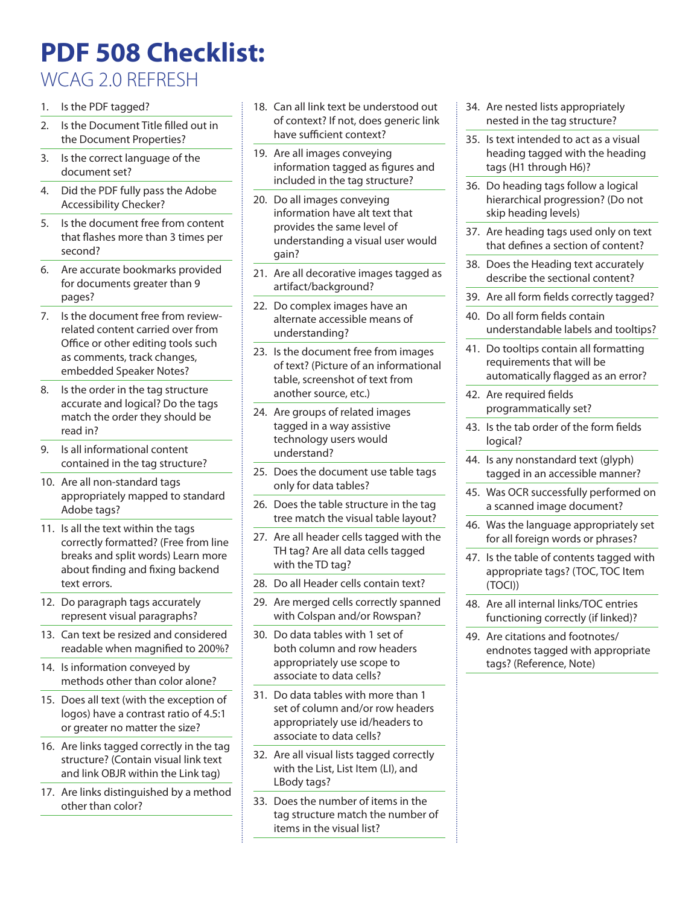## **PDF 508 Checklist:**

### WCAG 2.0 REFRESH

- 1. Is the PDF tagged?
- 2. Is the Document Title filled out in the Document Properties?
- 3. Is the correct language of the document set?
- 4. Did the PDF fully pass the Adobe Accessibility Checker?
- 5. Is the document free from content that flashes more than 3 times per second?
- 6. Are accurate bookmarks provided for documents greater than 9 pages?
- 7. Is the document free from reviewrelated content carried over from Office or other editing tools such as comments, track changes, embedded Speaker Notes?
- 8. Is the order in the tag structure accurate and logical? Do the tags match the order they should be read in?
- 9. Is all informational content contained in the tag structure?
- 10. Are all non-standard tags appropriately mapped to standard Adobe tags?
- 11. Is all the text within the tags correctly formatted? (Free from line breaks and split words) Learn more about finding and fixing backend text errors.
- 12. Do paragraph tags accurately represent visual paragraphs?
- 13. Can text be resized and considered readable when magnified to 200%?
- 14. Is information conveyed by methods other than color alone?
- 15. Does all text (with the exception of logos) have a contrast ratio of 4.5:1 or greater no matter the size?
- 16. Are links tagged correctly in the tag structure? (Contain visual link text and link OBJR within the Link tag)
- 17. Are links distinguished by a method other than color?
- 18. Can all link text be understood out of context? If not, does generic link have sufficient context?
- 19. Are all images conveying information tagged as figures and included in the tag structure?
- 20. Do all images conveying information have alt text that provides the same level of understanding a visual user would gain?
- 21. Are all decorative images tagged as artifact/background?
- 22. Do complex images have an alternate accessible means of understanding?
- 23. Is the document free from images of text? (Picture of an informational table, screenshot of text from another source, etc.)
- 24. Are groups of related images tagged in a way assistive technology users would understand?
- 25. Does the document use table tags only for data tables?
- 26. Does the table structure in the tag tree match the visual table layout?
- 27. Are all header cells tagged with the TH tag? Are all data cells tagged with the TD tag?
- 28. Do all Header cells contain text?
- 29. Are merged cells correctly spanned with Colspan and/or Rowspan?
- 30. Do data tables with 1 set of both column and row headers appropriately use scope to associate to data cells?
- 31. Do data tables with more than 1 set of column and/or row headers appropriately use id/headers to associate to data cells?
- 32. Are all visual lists tagged correctly with the List, List Item (LI), and LBody tags?
- 33. Does the number of items in the tag structure match the number of items in the visual list?
- 34. Are nested lists appropriately nested in the tag structure?
- 35. Is text intended to act as a visual heading tagged with the heading tags (H1 through H6)?
- 36. Do heading tags follow a logical hierarchical progression? (Do not skip heading levels)
- 37. Are heading tags used only on text that defines a section of content?
- 38. Does the Heading text accurately describe the sectional content?
- 39. Are all form fields correctly tagged?
- 40. Do all form fields contain understandable labels and tooltips?
- 41. Do tooltips contain all formatting requirements that will be automatically flagged as an error?
- 42. Are required fields programmatically set?
- 43. Is the tab order of the form fields logical?
- 44. Is any nonstandard text (glyph) tagged in an accessible manner?
- 45. Was OCR successfully performed on a scanned image document?
- 46. Was the language appropriately set for all foreign words or phrases?
- 47. Is the table of contents tagged with appropriate tags? (TOC, TOC Item (TOCI))
- 48. Are all internal links/TOC entries functioning correctly (if linked)?
- 49. Are citations and footnotes/ endnotes tagged with appropriate tags? (Reference, Note)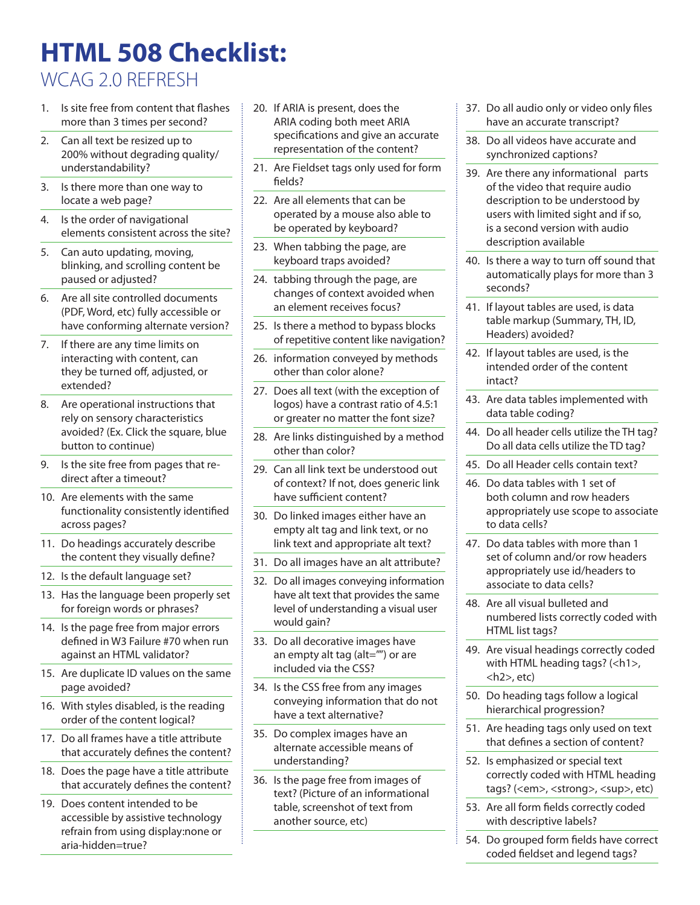# **HTML 508 Checklist:**

WCAG 2.0 REFRESH

- 1. Is site free from content that flashes more than 3 times per second?
- 2. Can all text be resized up to 200% without degrading quality/ understandability?
- 3. Is there more than one way to locate a web page?
- 4. Is the order of navigational elements consistent across the site?
- 5. Can auto updating, moving, blinking, and scrolling content be paused or adjusted?
- 6. Are all site controlled documents (PDF, Word, etc) fully accessible or have conforming alternate version?
- 7. If there are any time limits on interacting with content, can they be turned off, adjusted, or extended?
- 8. Are operational instructions that rely on sensory characteristics avoided? (Ex. Click the square, blue button to continue)
- 9. Is the site free from pages that redirect after a timeout?
- 10. Are elements with the same functionality consistently identified across pages?
- 11. Do headings accurately describe the content they visually define?
- 12. Is the default language set?
- 13. Has the language been properly set for foreign words or phrases?
- 14. Is the page free from major errors defined in W3 Failure #70 when run against an HTML validator?
- 15. Are duplicate ID values on the same page avoided?
- 16. With styles disabled, is the reading order of the content logical?
- 17. Do all frames have a title attribute that accurately defines the content?
- 18. Does the page have a title attribute that accurately defines the content?
- 19. Does content intended to be accessible by assistive technology refrain from using display:none or aria-hidden=true?
- 20. If ARIA is present, does the ARIA coding both meet ARIA specifications and give an accurate representation of the content?
- 21. Are Fieldset tags only used for form fields?
- 22. Are all elements that can be operated by a mouse also able to be operated by keyboard?
- 23. When tabbing the page, are keyboard traps avoided?
- 24. tabbing through the page, are changes of context avoided when an element receives focus?
- 25. Is there a method to bypass blocks of repetitive content like navigation?
- 26. information conveyed by methods other than color alone?
- 27. Does all text (with the exception of logos) have a contrast ratio of 4.5:1 or greater no matter the font size?
- 28. Are links distinguished by a method other than color?
- 29. Can all link text be understood out of context? If not, does generic link have sufficient content?
- 30. Do linked images either have an empty alt tag and link text, or no link text and appropriate alt text?
- 31. Do all images have an alt attribute?
- 32. Do all images conveying information have alt text that provides the same level of understanding a visual user would gain?
- 33. Do all decorative images have an empty alt tag (alt="") or are included via the CSS?
- 34. Is the CSS free from any images conveying information that do not have a text alternative?
- 35. Do complex images have an alternate accessible means of understanding?
- 36. Is the page free from images of text? (Picture of an informational table, screenshot of text from another source, etc)
- 37. Do all audio only or video only files have an accurate transcript?
- 38. Do all videos have accurate and synchronized captions?
- 39. Are there any informational parts of the video that require audio description to be understood by users with limited sight and if so, is a second version with audio description available
- 40. Is there a way to turn off sound that automatically plays for more than 3 seconds?
- 41. If layout tables are used, is data table markup (Summary, TH, ID, Headers) avoided?
- 42. If layout tables are used, is the intended order of the content intact?
- 43. Are data tables implemented with data table coding?
- 44. Do all header cells utilize the TH tag? Do all data cells utilize the TD tag?
- 45. Do all Header cells contain text?
- 46. Do data tables with 1 set of both column and row headers appropriately use scope to associate to data cells?
- 47. Do data tables with more than 1 set of column and/or row headers appropriately use id/headers to associate to data cells?
- 48. Are all visual bulleted and numbered lists correctly coded with HTML list tags?
- 49. Are visual headings correctly coded with HTML heading tags? (<h1>, <h2>, etc)
- 50. Do heading tags follow a logical hierarchical progression?
- 51. Are heading tags only used on text that defines a section of content?
- 52. Is emphasized or special text correctly coded with HTML heading tags? (<em>, <strong>, <sup>, etc)
- 53. Are all form fields correctly coded with descriptive labels?
- 54. Do grouped form fields have correct coded fieldset and legend tags?